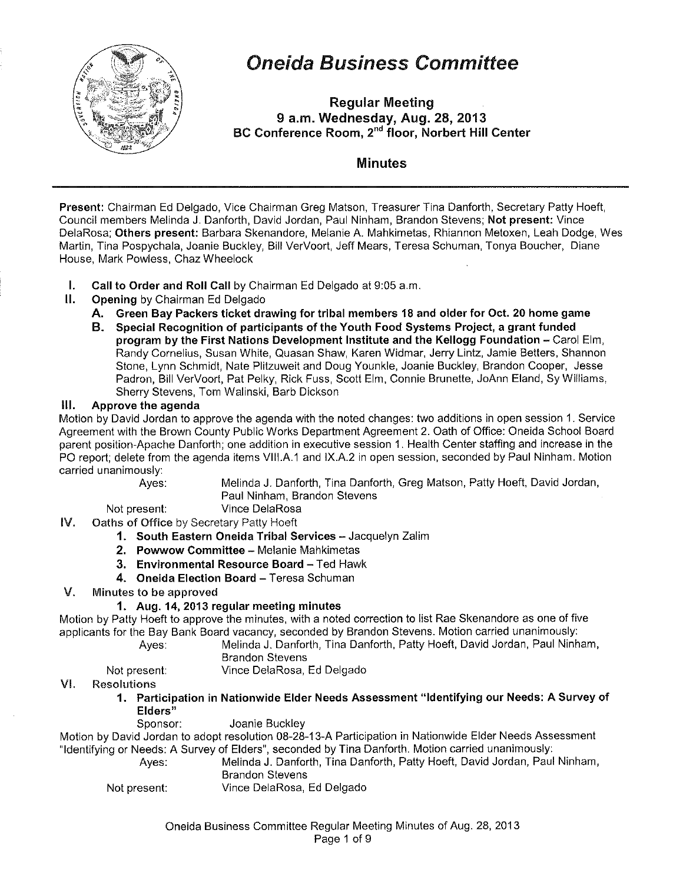

# Oneida Business Committee

Regular Meeting 9 a.m. Wednesday, Aug. 28, 2013 BC Conference Room, 2<sup>nd</sup> floor, Norbert Hill Center

### Minutes

Present: Chairman Ed Delgado, Vice Chairman Greg Matson, Treasurer Tina Danforth, Secretary Patty Hoeft, Council members Melinda J. Danforth, David Jordan, Paul Ninham, Brandon Stevens; Not present: Vince DelaRosa; Others present: Barbara Skenandore, Melanie A. Mahkimetas, Rhiannon Metoxen, Leah Dodge, Wes Martin, Tina Pospychala, Joanie Buckley, Bill VerVoort, Jeff Mears, Teresa Schuman, Tanya Boucher, Diane House, Mark Powless, Chaz Wheelock

- I. Call to Order and Roll Call by Chairman Ed Delgado at 9:05a.m.
- II. Opening by Chairman Ed Delgado
	- A. Green Bay Packers ticket drawing for tribal members 18 and older for Oct. 20 home game
	- B. Special Recognition of participants of the Youth Food Systems Project, a grant funded program by the First Nations Development Institute and the Kellogg Foundation- Carol Elm, Randy Cornelius, Susan White, Quasan Shaw, Karen Widmar, Jerry Lintz, Jamie Betters, Shannon Stone, Lynn Schmidt, Nate Plitzuweit and Doug Younkle, Joanie Buckley, Brandon Cooper, Jesse Padron, Bill VerVoort, Pat Pelky, Rick Fuss, Scott Elm, Connie Brunette, JoAnn Eland, Sy Williams, Sherry Stevens, Tom Walinski, Barb Dickson

#### Ill. Approve the agenda

Motion by David Jordan to approve the agenda with the noted changes: two additions in open session 1. Service Agreement with the Brown County Public Works Department Agreement 2. Oath of Office: Oneida School Board parent position-Apache Danforth; one addition in executive session 1. Health Center staffing and increase in the PO report; delete from the agenda items VIII.A.1 and IX.A.2 in open session, seconded by Paul Ninham. Motion carried unanimously:

Ayes: Melinda J. Danforth, Tina Danforth, Greg Matson, Patty Hoeft, David Jordan, Paul Ninham, Brandon Stevens

Not present: Vince DelaRosa

IV. Oaths of Office by Secretary Patty Hoeft

- 1. South Eastern Oneida Tribal Services Jacquelyn Zalim
- 2. Powwow Committee- Melanie Mahkimetas
- 3. Environmental Resource Board- Ted Hawk
- 4. Oneida Election Board Teresa Schuman
- V. Minutes to be approved

#### 1. Aug. 14, 2013 regular meeting minutes

Motion by Patty Hoeft to approve the minutes, with a noted correction to list Rae Skenandore as one of five applicants for the Bay Bank Board vacancy, seconded by Brandon Stevens. Motion carried unanimously:

Ayes: Melinda J. Danforth, Tina Danforth, Patty Hoeft, David Jordan, Paul Ninham, Brandon Stevens

Not present: Vince DelaRosa, Ed Delgado

#### VI. Resolutions

1. Participation in Nationwide Elder Needs Assessment "Identifying our Needs: A Survey of Elders"

Sponsor: Joanie Buckley

Motion by David Jordan to adopt resolution 08-28-13-A Participation in Nationwide Elder Needs Assessment "Identifying or Needs: A Survey of Elders", seconded by Tina Danforth. Motion carried unanimously:

Ayes: Melinda J. Danforth, Tina Danforth, Patty Hoeft, David Jordan, Paul Ninham, Brandon Stevens

Not present: Vince DelaRosa, Ed Delgado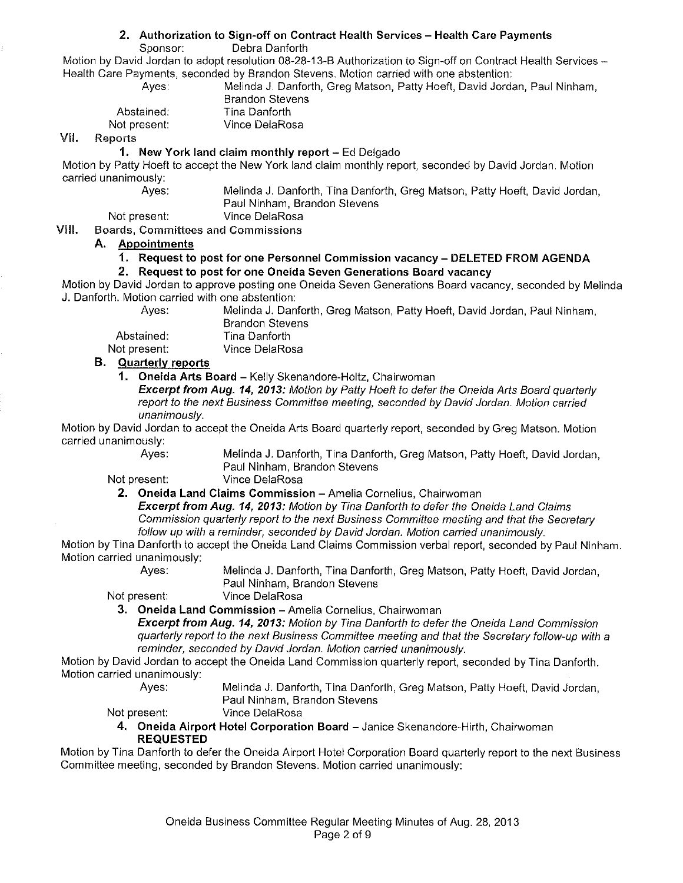#### **2. Authorization to Sign-off on Contract Health Services- Health Care Payments**

Sponsor: Debra Danforth

Motion by David Jordan to adopt resolution 08-28-13-B Authorization to Sign-off on Contract Health Services-Health Care Payments, seconded by Brandon Stevens. Motion carried with one abstention:

Ayes: Melinda J. Danforth, Greg Matson, Patty Hoeft, David Jordan, Paul Ninham, Brandon Stevens

| Abstained:   | Tina Danforth  |
|--------------|----------------|
| Not present: | Vince DelaRosa |

#### VII. Reports

#### **1. New York land claim monthly report-** Ed Delgado

Motion by Patty Hoeft to accept the New York land claim monthly report, seconded by David Jordan. Motion carried unanimously:

Ayes: Melinda J. Danforth, Tina Danforth, Greg Matson, Patty Hoeft, David Jordan, Paul Ninham, Brandon Stevens

Not present: Vince DelaRosa

VIII. Boards, Committees and Commissions

#### **A. Appointments**

#### **1. Request to post for one Personnel Commission vacancy- DELETED FROM AGENDA**

#### **2. Request to post for one Oneida Seven Generations Board vacancy**

Motion by David Jordan to approve posting one Oneida Seven Generations Board vacancy, seconded by Melinda J. Danforth. Motion carried with one abstention:

Ayes: Melinda J. Danforth, Greg Matson, Patty Hoeft, David Jordan, Paul Ninham, Brandon Stevens

Abstained: Tina Danforth<br>Not present: Vince DelaRo Vince DelaRosa

#### **B. Quarterly reports**

**1. Oneida Arts Board** - Kelly Skenandore-Holtz, Chairwoman

**Excerpt from Aug. 14, 2013:** Motion by Patty Hoeft to defer the Oneida Arts Board quarterly report to the next Business Committee meeting, seconded by David Jordan. Motion carried unanimously.

Motion by David Jordan to accept the Oneida Arts Board quarterly report, seconded by Greg Matson. Motion carried unanimously:

Ayes: Melinda **J.** Danforth, Tina Danforth, Greg Matson, Patty Hoeft, David Jordan, Paul Ninham, Brandon Stevens

Not present: Vince DelaRosa

#### **2. Oneida Land Claims Commission-** Amelia Cornelius, Chairwoman

**Excerpt from Aug. 14, 2013:** Motion by Tina Danforth to defer the Oneida Land Claims Commission quarterly report to the next Business Committee meeting and that the Secretary follow up with a reminder, seconded by David Jordan. Motion carried unanimously.

Motion by Tina Danforth to accept the Oneida Land Claims Commission verbal report, seconded by Paul Ninham. Motion carried unanimously:<br>Ayes:

Melinda J. Danforth, Tina Danforth, Greg Matson, Patty Hoeft, David Jordan, Paul Ninham, Brandon Stevens

Not present: Vince DelaRosa

**3. Oneida Land Commission - Amelia Cornelius, Chairwoman** 

**Excerpt from Aug. 14, 2013:** Motion by Tina Danforth to defer the Oneida Land Commission quarterly report to the next Business Committee meeting and that the Secretary follow-up with a reminder, seconded by David Jordan. Motion carried unanimously.

Motion by David Jordan to accept the Oneida Land Commission quarterly report, seconded by Tina Danforth. Motion carried unanimously:

Ayes: Melinda J. Danforth, Tina Danforth, Greg Matson, Patty Hoeft, David Jordan, Paul Ninham, Brandon Stevens

Not present: Vince DelaRosa

4. Oneida Airport Hotel Corporation Board - Janice Skenandore-Hirth, Chairwoman **REQUESTED** 

Motion by Tina Danforth to defer the Oneida Airport Hotel Corporation Board quarterly report to the next Business Committee meeting, seconded by Brandon Stevens. Motion carried unanimously: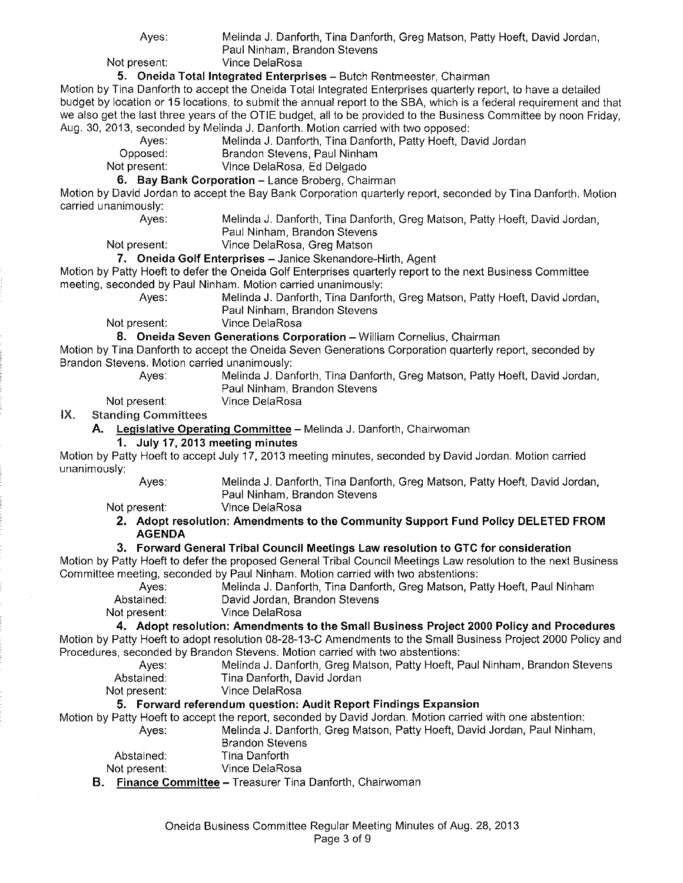Ayes: Melinda J. Danforth, Tina Danforth, Greg Matson, Patty Hoeft, David Jordan, Paul Ninham, Brandon Stevens

Not present: Vince DelaRosa

**5. Oneida Total Integrated Enterprises-** Butch Rentmeester, Chairman

Motion by Tina Danforth to accept the Oneida Total Integrated Enterprises quarterly report, to have a detailed budget by location or 15 locations, to submit the annual report to the SBA, which is a federal requirement and that we also get the last three years of the OTIE budget, all to be provided to the Business Committee by noon Friday, Aug. 30, 2013, seconded by Melinda J. Danforth. Motion carried with two opposed:

Ayes: Melinda J. Danforth, Tina Danforth, Patty Hoeft, David Jordan<br>Opposed: Brandon Stevens. Paul Ninham

Opposed: Brandon Stevens, Paul Ninham<br>
Not present: Vince DelaRosa, Ed Delgado

Vince DelaRosa, Ed Delgado **6. Bay Bank Corporation - Lance Broberg, Chairman** 

Motion by David Jordan to accept the Bay Bank Corporation quarterly report, seconded by Tina Danforth. Motion carried unanimously:

Ayes: Melinda J. Danforth, Tina Danforth, Greg Matson, Patty Hoeft, David Jordan, Paul Ninham, Brandon Stevens

Not present: Vince DelaRosa, Greg Matson

**7. Oneida Golf Enterprises-** Janice Skenandore-Hirth, Agent

Motion by Patty Hoeft to defer the Oneida Golf Enterprises quarterly report to the next Business Committee meeting, seconded by Paul Ninham. Motion carried unanimously:

Ayes: Melinda J. Danforth, Tina Danforth, Greg Matson, Patty Hoeft, David Jordan, Paul Ninham, Brandon Stevens

Not present: Vince DelaRosa

**8. Oneida Seven Generations Corporation-** William Cornelius, Chairman

Motion by Tina Danforth to accept the Oneida Seven Generations Corporation quarterly report, seconded by Brandon Stevens. Motion carried unanimously:

Ayes: Melinda J. Danforth, Tina Danforth, Greg Matson, Patty Hoeft, David Jordan, Paul Ninham, Brandon Stevens

Not present: Vince DelaRosa

IX. Standing Committees

**A. Legislative Operating Committee-** Melinda J. Danforth, Chairwoman

#### **1. July 17, 2013 meeting minutes**

Motion by Patty Hoeft to accept July 17, 2013 meeting minutes, seconded by David Jordan. Motion carried unanimously:

Ayes: Melinda J. Danforth, Tina Danforth, Greg Matson, Patty Hoeft, David Jordan, Paul Ninham, Brandon Stevens

Not present: Vince DelaRosa

**2. Adopt resolution: Amendments to the Community Support Fund Policy DELETED FROM AGENDA** 

#### **3. Forward General Tribal Council Meetings Law resolution to GTC for consideration**

Motion by Patty Hoeft to defer the proposed General Tribal Council Meetings Law resolution to the next Business Committee meeting, seconded by Paul Ninham. Motion carried with two abstentions:

Ayes: Melinda J. Danforth, Tina Danforth, Greg Matson, Patty Hoeft, Paul Ninham<br>Abstained: David Jordan, Brandon Stevens David Jordan, Brandon Stevens

Not present: Vince DelaRosa

**4. Adopt resolution: Amendments to the Small Business Project 2000 Policy and Procedures**  Motion by Patty Hoeft to adopt resolution 08-28-13-C Amendments to the Small Business Project 2000 Policy and

Procedures, seconded by Brandon Stevens. Motion carried with two abstentions: Melinda J. Danforth, Greg Matson, Patty Hoeft, Paul Ninham, Brandon Stevens Abstained: Tina Danforth, David Jordan

Not present: Vince DelaRosa

#### **5. Forward referendum question: Audit Report Findings Expansion**

Motion by Patty Hoeft to accept the report, seconded by David Jordan. Motion carried with one abstention:

Ayes: Melinda J. Danforth, Greg Matson, Patty Hoeft, David Jordan, Paul Ninham, Brandon Stevens

|              | Pranuvni vluvcilo |  |
|--------------|-------------------|--|
| Abstained:   | Tina Danforth     |  |
| Not present: | Vince DelaRosa    |  |

**B. Finance Committee-** Treasurer Tina Danforth, Chairwoman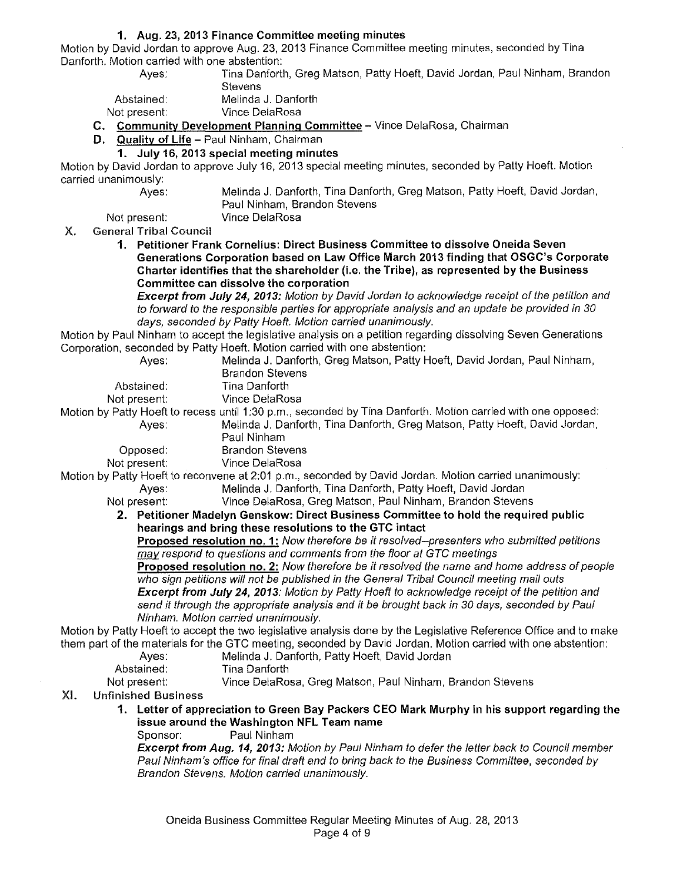#### **1. Aug. 23,2013 Finance Committee meeting minutes**

Motion by David Jordan to approve Aug. 23, 2013 Finance Committee meeting minutes, seconded by Tina Danforth. Motion carried with one abstention:

Tina Danforth, Greg Matson, Patty Hoeft, David Jordan, Paul Ninham, Brandon **Stevens** 

Abstained: Melinda J. Danforth

Not present: Vince DelaRosa

Ayes:

**C. Community Development Planning Committee-** Vince DelaRosa, Chairman

**D. Quality of Life-** Paul Ninham, Chairman

#### **1. July 16, 2013 special meeting minutes**

Motion by David Jordan to approve July 16, 2013 special meeting minutes, seconded by Patty Hoeft. Motion carried unanimously:

Melinda J. Danforth, Tina Danforth, Greg Matson, Patty Hoeft, David Jordan, Paul Ninham, Brandon Stevens

Not present: Vince DelaRosa

#### X. General Tribal Council

**1. Petitioner Frank Cornelius: Direct Business Committee to dissolve Oneida Seven Generations Corporation based on Law Office March 2013 finding that OSGC's Corporate Charter identifies that the shareholder (i.e. the Tribe), as represented by the Business Committee can dissolve the corporation** 

**Excerpt from July 24, 2013:** Motion by David Jordan to acknowledge receipt of the petition and to forward to the responsible parties for appropriate analysis and an update be provided in 30 days, seconded by Patty Hoeft. Motion carried unanimously.

Motion by Paul Ninham to accept the legislative analysis on a petition regarding dissolving Seven Generations Corporation, seconded by Patty Hoeft. Motion carried with one abstention:

| , porquon, ovevrase by the |                                                                                                                   |
|----------------------------|-------------------------------------------------------------------------------------------------------------------|
| Ayes:                      | Melinda J. Danforth, Greg Matson, Patty Hoeft, David Jordan, Paul Ninham,                                         |
|                            | <b>Brandon Stevens</b>                                                                                            |
| Abstained:                 | Tina Danforth                                                                                                     |
| Not present:               | Vince DelaRosa                                                                                                    |
|                            | Motion by Patty Hoeft to recess until 1:30 p.m., seconded by Tina Danforth. Motion carried with one opposed:      |
| Ayes:                      | Melinda J. Danforth, Tina Danforth, Greg Matson, Patty Hoeft, David Jordan,                                       |
|                            | Paul Ninham                                                                                                       |
| Opposed:                   | <b>Brandon Stevens</b>                                                                                            |
| Not present:               | Vince DelaRosa                                                                                                    |
|                            | Motion by Patty Hoeft to reconvene at 2:01 p.m., seconded by David Jordan. Motion carried unanimously:            |
| Aves:                      | Melinda J. Danforth, Tina Danforth, Patty Hoeft, David Jordan                                                     |
| Not present:               | Vince DelaRosa, Greg Matson, Paul Ninham, Brandon Stevens                                                         |
|                            | 2. Petitioner Madelyn Genskow: Direct Business Committee to hold the required public                              |
|                            | hearings and bring these resolutions to the GTC intact                                                            |
|                            | Proposed resolution no. 1: Now therefore be it resolved--presenters who submitted petitions                       |
|                            | may respond to questions and comments from the floor at GTC meetings                                              |
|                            | Proposed resolution no. 2: Now therefore be it resolved the name and home address of people                       |
|                            | who sign petitions will not be published in the General Tribal Council meeting mail outs                          |
|                            | Excerpt from July 24, 2013: Motion by Patty Hoeft to acknowledge receipt of the petition and                      |
|                            | send it through the appropriate analysis and it be brought back in 30 days, seconded by Paul                      |
|                            | Ninham. Motion carried unanimously.                                                                               |
|                            | Motion by Patty Hoeft to accept the two legislative analysis done by the Legislative Reference Office and to make |
|                            | them part of the materials for the GTC meeting, seconded by David Jordan. Motion carried with one abstention:     |
| Ayes:                      | Melinda J. Danforth, Patty Hoeft, David Jordan                                                                    |
| Abstained:                 | Tina Danforth                                                                                                     |
| Not present:               | Vince DelaRosa, Greg Matson, Paul Ninham, Brandon Stevens                                                         |
|                            |                                                                                                                   |

- XI. Unfinished Business
	- **1. Letter of appreciation to Green Bay Packers CEO Mark Murphy in his support regarding the issue around the Washington NFL Team name**

Sponsor: Paul Ninham

**Excerpt from Aug. 14, 2013:** Motion by Paul Ninham to defer the letter back to Council member Paul Ninham's office for final draft and to bring back to the Business Committee, seconded by Brandon Stevens. Motion carried unanimously.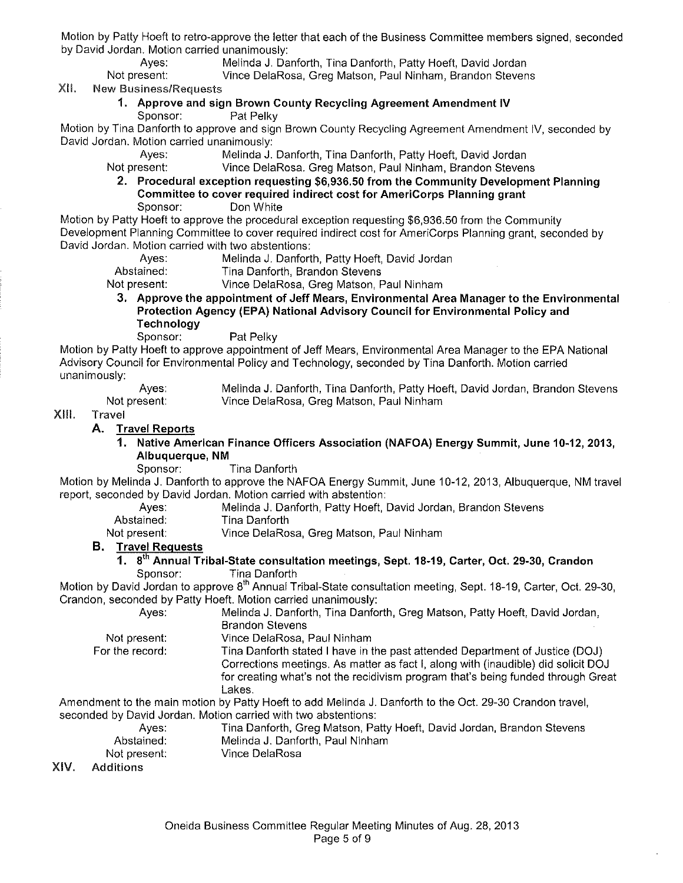Motion by Patty Hoeft to retro-approve the letter that each of the Business Committee members signed, seconded by David Jordan. Motion carried unanimously:

Ayes: Melinda J. Danforth, Tina Danforth, Patty Hoeft, David Jordan<br>Not present: Vince DelaRosa, Greg Matson, Paul Ninham, Brandon Steven

Vince DelaRosa, Greg Matson, Paul Ninham, Brandon Stevens

XII. New Business/Requests

## **1. Approve and sign Brown County Recycling Agreement Amendment IV**

Sponsor: Pat Pelky

Motion by Tina Danforth to approve and sign Brown County Recycling Agreement Amendment IV, seconded by David Jordan. Motion carried unanimously:

Ayes: Melinda J. Danforth, Tina Danforth, Patty Hoeft, David Jordan<br>Not present: Vince DelaRosa, Greg Matson, Paul Ninham, Brandon Steven

Vince DelaRosa. Greg Matson, Paul Ninham, Brandon Stevens

**2. Procedural exception requesting \$6,936.50 from the Community Development Planning Committee to cover required indirect cost for AmeriCorps Planning grant**  Sponsor: Don White

Motion by Patty Hoeft to approve the procedural exception requesting \$6,936.50 from the Community Development Planning Committee to cover required indirect cost for AmeriCorps Planning grant, seconded by David Jordan. Motion carried with two abstentions:

Ayes: Melinda J. Danforth, Patty Hoeft, David Jordan

Abstained: Tina Danforth, Brandon Stevens

Not present: Vince DelaRosa, Greg Matson, Paul Ninham

**3. Approve the appointment of Jeff Mears, Environmental Area Manager to the Environmental Protection Agency (EPA) National Advisory Council for Environmental Policy and Technology** 

Sponsor: Pat Pelky

Motion by Patty Hoeft to approve appointment of Jeff Mears, Environmental Area Manager to the EPA National Advisory Council for Environmental Policy and Technology, seconded by Tina Danforth. Motion carried unanimously:

Ayes: Not present: Melinda J. Danforth, Tina Danforth, Patty Hoeft, David Jordan, Brandon Stevens Vince DelaRosa, Greg Matson, Paul Ninham

#### XIII. Travel

#### **A. Travel Reports**

- 1. **Native American Finance Officers Association (NAFOA) Energy Summit, June 10-12, 2013, Albuquerque, NM** 
	- Sponsor: Tina Danforth

Motion by Melinda **J.** Danforth to approve the NAFOA Energy Summit, June 10-12, 2013, Albuquerque, NM travel report, seconded by David Jordan. Motion carried with abstention:

- Ayes: Melinda J. Danforth, Patty Hoeft, David Jordan, Brandon Stevens Abstained: Tina Danforth
- Not present: Vince DelaRosa, Greg Matson, Paul Ninham

#### **B. Travel Requests**

**1.** 8<sup>th</sup> Annual Tribal-State consultation meetings, Sept. 18-19, Carter, Oct. 29-30, Crandon Sponsor: Tina Danforth

Motion by David Jordan to approve 8<sup>th</sup> Annual Tribal-State consultation meeting, Sept. 18-19, Carter, Oct. 29-30, Crandon, seconded by Patty Hoeft. Motion carried unanimously:

Ayes: Melinda J. Danforth, Tina Danforth, Greg Matson, Patty Hoeft, David Jordan,

Brandon Stevens

Not present: For the record: Vince DelaRosa, Paul Ninham Tina Danforth stated I have in the past attended Department of Justice (DOJ) Corrections meetings. As matter as fact I, along with (inaudible) did solicit DOJ for creating what's not the recidivism program that's being funded through Great Lakes.

Amendment to the main motion by Patty Hoeft to add Melinda J. Danforth to the Oct. 29-30 Crandon travel, seconded by David Jordan. Motion carried with two abstentions:

Ayes: Tina Danforth, Greg Matson, Patty Hoeft, David Jordan, Brandon Stevens Abstained: Melinda J. Danforth, Paul Ninham Not present: Vince DelaRosa

#### XIV. Additions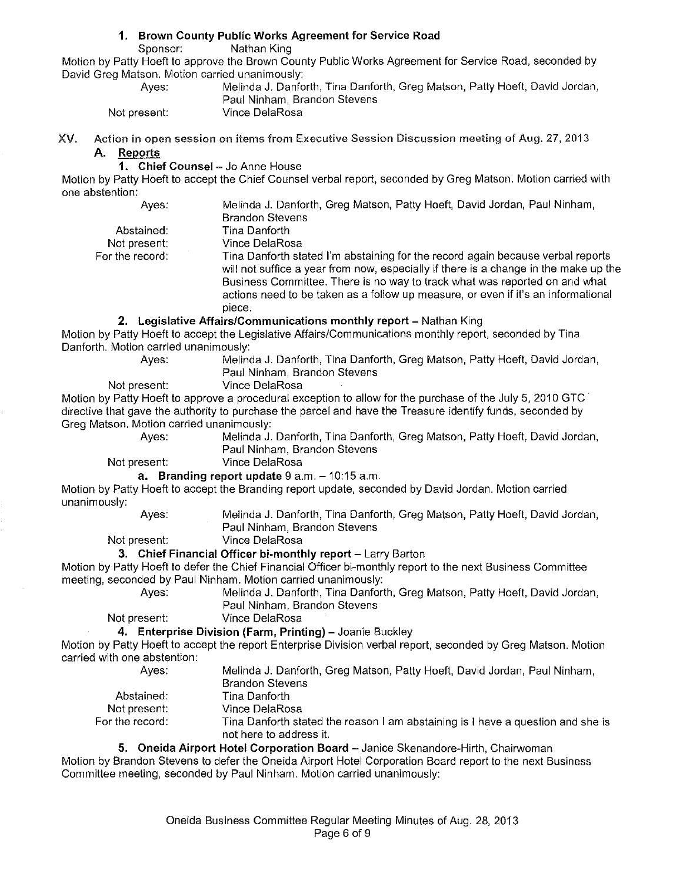## **1. Brown County Public Works Agreement for Service Road**

Nathan King

Motion by Patty Hoeft to approve the Brown County Public Works Agreement for Service Road, seconded by David Greg Matson. Motion carried unanimously:

| Aves:        | Melinda J. Danforth, Tina Danforth, Greg Matson, Patty Hoeft, David Jordan, |
|--------------|-----------------------------------------------------------------------------|
|              | Paul Ninham, Brandon Stevens                                                |
| Not present: | Vince DelaRosa                                                              |

XV. Action in open session on items from Executive Session Discussion meeting of Aug. 27, 2013 **A. Reports** 

**1. Chief Counsel - Jo Anne House** 

Motion by Patty Hoeft to accept the Chief Counsel verbal report, seconded by Greg Matson. Motion carried with one abstention:

Ayes: Melinda J. Danforth, Greg Matson, Patty Hoeft, David Jordan, Paul Ninham, Brandon Stevens Abstained: Tina Danforth Not present: For the record: Vince DelaRosa Tina Danforth stated I'm abstaining for the record again because verbal reports will not suffice a year from now, especially if there is a change in the make up the Business Committee. There is no way to track what was reported on and what actions need to be taken as a follow up measure, or even if it's an informational piece. **2. Legislative Affairs/Communications monthly report-** Nathan King Motion by Patty Hoeft to accept the Legislative Affairs/Communications monthly report, seconded by Tina Danforth. Motion carried unanimously:<br>Ayes: Melino Melinda J. Danforth, Tina Danforth, Greg Matson, Patty Hoeft, David Jordan, Paul Ninham, Brandon Stevens Not present: Vince DelaRosa Motion by Patty Hoeft to approve a procedural exception to allow for the purchase of the July 5, 2010 GTC directive that gave the authority to purchase the parcel and have the Treasure identify funds, seconded by Greg Matson. Motion carried unanimously: Ayes: Melinda J. Danforth, Tina Danforth, Greg Matson, Patty Hoeft, David Jordan, Paul Ninham, Brandon Stevens Not present: Vince DelaRosa **a.** Branding report update 9 a.m. - 10:15 a.m. Motion by Patty Hoeft to accept the Branding report update, seconded by David Jordan. Motion carried unanimously:

Ayes: Melinda J. Danforth, Tina Danforth, Greg Matson, Patty Hoeft, David Jordan, Paul Ninham, Brandon Stevens

Not present: Vince DelaRosa

#### **3. Chief Financial Officer bi-monthly report-** Larry Barton

Motion by Patty Hoeft to defer the Chief Financial Officer bi-monthly report to the next Business Committee meeting, seconded by Paul Ninham. Motion carried unanimously:

Ayes: Melinda J. Danforth, Tina Danforth, Greg Matson, Patty Hoeft, David Jordan, Paul Ninham, Brandon Stevens

Not present: Vince DelaRosa

Abstained: Not present:

**4. Enterprise Division (Farm, Printing)-** Joanie Buckley

Motion by Patty Hoeft to accept the report Enterprise Division verbal report, seconded by Greg Matson. Motion carried with one abstention:

- Ayes:
	- Melinda J. Danforth, Greg Matson, Patty Hoeft, David Jordan, Paul Ninham, Brandon Stevens Tina Danforth Vince DelaRosa
- For the record: Tina Danforth stated the reason I am abstaining is I have a question and she is not here to address it.

#### **5. Oneida Airport Hotel Corporation Board** -Janice Skenandore-Hirth, Chairwoman

Motion by Brandon Stevens to defer the Oneida Airport Hotel Corporation Board report to the next Business Committee meeting, seconded by Paul Ninham. Motion carried unanimously: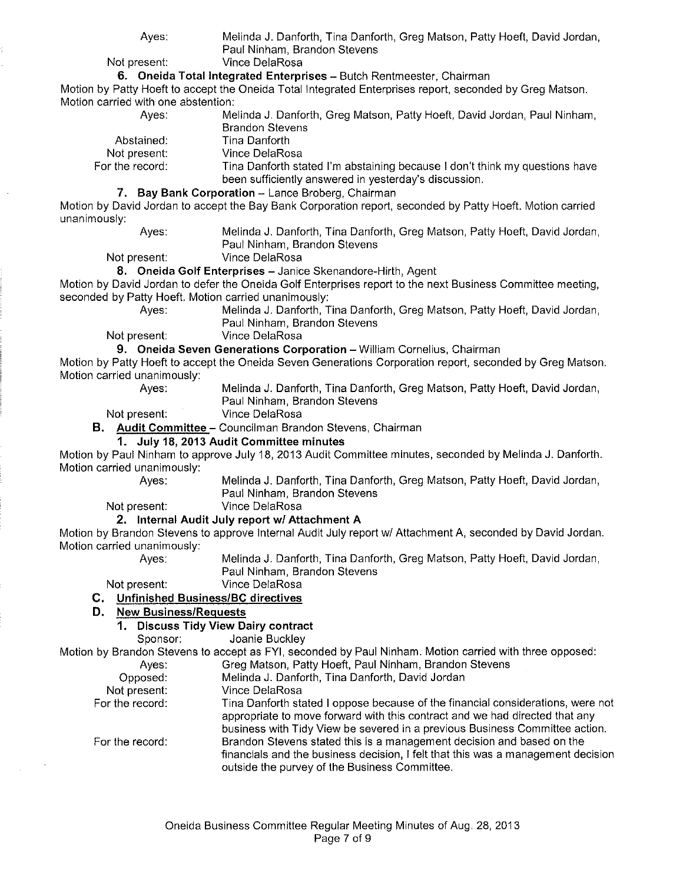Melinda J. Danforth, Tina Danforth, Greg Matson, Patty Hoeft, David Jordan, Paul Ninham, Brandon Stevens

Not present: Vince DelaRosa

#### **6. Oneida Total Integrated Enterprises-** Butch Rentmeester, Chairman

Motion by Patty Hoeft to accept the Oneida Total Integrated Enterprises report, seconded by Greg Matson. Motion carried with one abstention:

| Aves:           | Melinda J. Danforth, Greg Matson, Patty Hoeft, David Jordan, Paul Ninham,   |
|-----------------|-----------------------------------------------------------------------------|
|                 | <b>Brandon Stevens</b>                                                      |
| Abstained:      | Tina Danforth                                                               |
| Not present:    | Vince DelaRosa                                                              |
| For the record: | Tina Danforth stated I'm abstaining because I don't think my questions have |
|                 | been sufficiently answered in yesterday's discussion.                       |
|                 | Bay Bank Corporation - Lance Broberg, Chairman                              |

Motion by David Jordan to accept the Bay Bank Corporation report, seconded by Patty Hoeft. Motion carried unanimously:

Ayes: Melinda J. Danforth, Tina Danforth, Greg Matson, Patty Hoeft, David Jordan, Paul Ninham, Brandon Stevens

Not present: Vince DelaRosa

#### 8. Oneida Golf Enterprises - Janice Skenandore-Hirth, Agent

Motion by David Jordan to defer the Oneida Golf Enterprises report to the next Business Committee meeting, seconded by Patty Hoeft. Motion carried unanimously:

Ayes: Melinda J. Danforth, Tina Danforth, Greg Matson, Patty Hoeft, David Jordan, Paul Ninham, Brandon Stevens

Not present: Vince DelaRosa

**9. Oneida Seven Generations Corporation-** William Cornelius, Chairman

Motion by Patty Hoeft to accept the Oneida Seven Generations Corporation report, seconded by Greg Matson. Motion carried unanimously:

Ayes: Melinda J. Danforth, Tina Danforth, Greg Matson, Patty Hoeft, David Jordan, Paul Ninham, Brandon Stevens

Not present: Vince DelaRosa

**B. Audit Committee-** Councilman Brandon Stevens, Chairman

#### **1. July 18, 2013 Audit Committee minutes**

Motion by Paul Ninham to approve July 18, 2013 Audit Committee minutes, seconded by Melinda J. Danforth. Motion carried unanimously:

Ayes: Melinda J. Danforth, Tina Danforth, Greg Matson, Patty Hoeft, David Jordan, Paul Ninham, Brandon Stevens

Not present: Vince DelaRosa

#### **2. Internal Audit July report w/ Attachment A**

Motion by Brandon Stevens to approve Internal Audit July report w/ Attachment A, seconded by David Jordan. Motion carried unanimously:<br>Ayes:

Melinda J. Danforth, Tina Danforth, Greg Matson, Patty Hoeft, David Jordan, Paul Ninham, Brandon Stevens

Not present: Vince DelaRosa

#### **C. Unfinished Business/Be directives**

#### **D. New Business/Requests**

#### **1. Discuss Tidy View Dairy contract**

Sponsor: Joanie Buckley

Motion by Brandon Stevens to accept as FYI, seconded by Paul Ninham. Motion carried with three opposed:

| Aves:           | Greg Matson, Patty Hoeft, Paul Ninham, Brandon Stevens                                                                                                                                                                                        |
|-----------------|-----------------------------------------------------------------------------------------------------------------------------------------------------------------------------------------------------------------------------------------------|
| Opposed:        | Melinda J. Danforth, Tina Danforth, David Jordan                                                                                                                                                                                              |
| Not present:    | Vince DelaRosa                                                                                                                                                                                                                                |
| For the record: | Tina Danforth stated I oppose because of the financial considerations, were not<br>appropriate to move forward with this contract and we had directed that any<br>business with Tidy View be severed in a previous Business Committee action. |
| For the record: | Brandon Stevens stated this is a management decision and based on the<br>financials and the business decision, I felt that this was a management decision<br>outside the purvey of the Business Committee.                                    |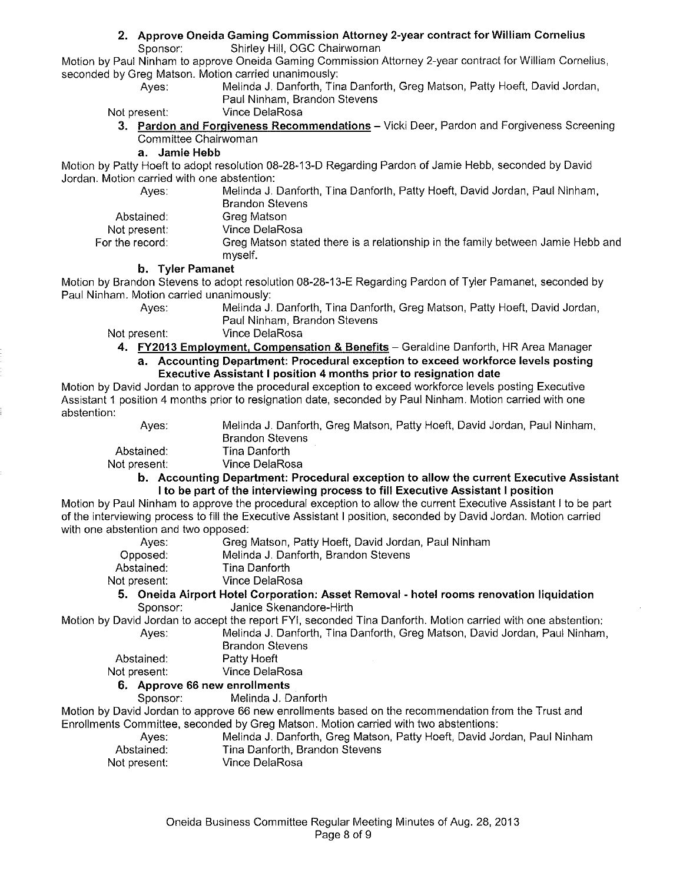#### **2. Approve Oneida Gaming Commission Attorney 2-year contract for William Cornelius**

Sponsor: Shirley Hill, OGC Chairwoman

Motion by Paul Ninham to approve Oneida Gaming Commission Attorney 2-year contract for William Cornelius, seconded by Greg Matson. Motion carried unanimously:

Ayes: Melinda J. Danforth, Tina Danforth, Greg Matson, Patty Hoeft, David Jordan, Paul Ninham, Brandon Stevens

Not present: Vince DelaRosa

3. **Pardon and Forgiveness Recommendations-** Vicki Deer, Pardon and Forgiveness Screening Committee Chairwoman

#### **a. Jamie Hebb**

Motion by Patty Hoeft to adopt resolution 08-28-13-D Regarding Pardon of Jamie Hebb, seconded by David Jordan. Motion carried with one abstention:

Ayes: Melinda J. Danforth, Tina Danforth, Patty Hoeft, David Jordan, Paul Ninham, Abstained: Not present: For the record: Brandon Stevens Greg Matson Vince DelaRosa Greg Matson stated there is a relationship in the family between Jamie Hebb and myself.

#### **b. Tyler Pamanet**

Motion by Brandon Stevens to adopt resolution 08-28-13-E Regarding Pardon of Tyler Pamanet, seconded by Paul Ninham. Motion carried unanimously: Ayes: Melinda J. Danforth, Tina Danforth, Greg Matson, Patty Hoeft, David Jordan,

Paul Ninham, Brandon Stevens

Not present: Vince DelaRosa

**4. FY2013 Employment, Compensation & Benefits - Geraldine Danforth, HR Area Manager a. Accounting Department: Procedural exception to exceed workforce levels posting Executive Assistant I position 4 months prior to resignation date** 

Motion by David Jordan to approve the procedural exception to exceed workforce levels posting Executive Assistant 1 position 4 months prior to resignation date, seconded by Paul Ninham. Motion carried with one abstention:

| Aves:        | Melinda J. Danforth, Greg Matson, Patty Hoeft, David Jordan, Paul Ninham,             |
|--------------|---------------------------------------------------------------------------------------|
|              | <b>Brandon Stevens</b>                                                                |
| Abstained:   | Tina Danforth.                                                                        |
| Not present: | Vince DelaRosa                                                                        |
|              | h - Accounting Donartmont: Procedural exception to allow the current Executive Acciet |

#### **b. Accounting Department: Procedural exception to allow the current Executive Assistant I to be part of the interviewing process to fill Executive Assistant I position**

Motion by Paul Ninham to approve the procedural exception to allow the current Executive Assistant I to be part of the interviewing process to fill the Executive Assistant I position, seconded by David Jordan. Motion carried with one abstention and two opposed:

| Aves:        | Greg Matson, Patty Hoeft, David Jordan, Paul Ninham                        |  |
|--------------|----------------------------------------------------------------------------|--|
| Opposed:     | Melinda J. Danforth, Brandon Stevens                                       |  |
| Abstained:   | Tina Danforth                                                              |  |
| Not present: | Vince DelaRosa                                                             |  |
|              | 5. Opeida Airport Hotel Corporation: Asset Removal - botel rooms repovatio |  |

**5. Oneida Airport Hotel Corporation: Asset Removal - hotel rooms renovation liquidation**  Sponsor: Janice Skenandore-Hirth

Motion by David Jordan to accept the report FYI, seconded Tina Danforth. Motion carried with one abstention: Ayes: Melinda J. Danforth, Tina Danforth, Greg Matson, David Jordan, Paul Ninham, Brandon Stevens

Abstained: Patty Hoeft

Not present: Vince DelaRosa

#### **6. Approve 66 new enrollments**

Sponsor: Melinda J. Danforth

Motion by David Jordan to approve 66 new enrollments based on the recommendation from the Trust and Enrollments Committee, seconded by Greg Matson. Motion carried with two abstentions:

- Ayes: Melinda J. Danforth, Greg Matson, Patty Hoeft, David Jordan, Paul Ninham Abstained: Tina Danforth, Brandon Stevens Not present: Vince DelaRosa
	- Oneida Business Committee Regular Meeting Minutes of Aug. 28, 2013 Page 8 of 9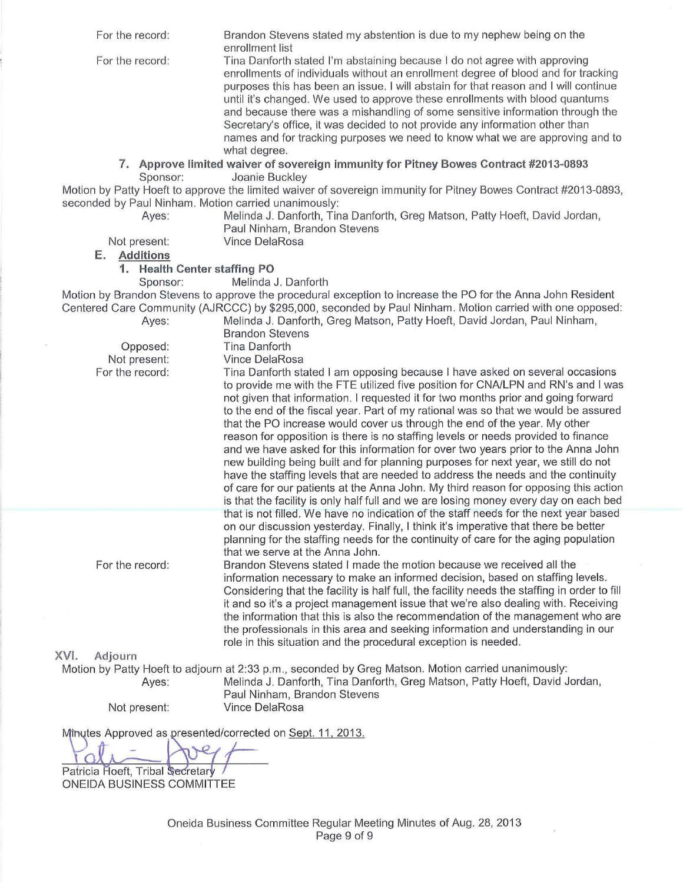| For the record:                                      | Brandon Stevens stated my abstention is due to my nephew being on the                                                                                                                                                                                                                                                                                                                                                                                                                                                                                                                                                                                                                                                                                                                                                                                                                                                                                     |
|------------------------------------------------------|-----------------------------------------------------------------------------------------------------------------------------------------------------------------------------------------------------------------------------------------------------------------------------------------------------------------------------------------------------------------------------------------------------------------------------------------------------------------------------------------------------------------------------------------------------------------------------------------------------------------------------------------------------------------------------------------------------------------------------------------------------------------------------------------------------------------------------------------------------------------------------------------------------------------------------------------------------------|
| For the record:                                      | enrollment list<br>Tina Danforth stated I'm abstaining because I do not agree with approving<br>enrollments of individuals without an enrollment degree of blood and for tracking<br>purposes this has been an issue. I will abstain for that reason and I will continue<br>until it's changed. We used to approve these enrollments with blood quantums<br>and because there was a mishandling of some sensitive information through the<br>Secretary's office, it was decided to not provide any information other than<br>names and for tracking purposes we need to know what we are approving and to<br>what degree.                                                                                                                                                                                                                                                                                                                                 |
|                                                      | 7. Approve limited waiver of sovereign immunity for Pitney Bowes Contract #2013-0893                                                                                                                                                                                                                                                                                                                                                                                                                                                                                                                                                                                                                                                                                                                                                                                                                                                                      |
| Sponsor:                                             | Joanie Buckley                                                                                                                                                                                                                                                                                                                                                                                                                                                                                                                                                                                                                                                                                                                                                                                                                                                                                                                                            |
|                                                      | Motion by Patty Hoeft to approve the limited waiver of sovereign immunity for Pitney Bowes Contract #2013-0893,                                                                                                                                                                                                                                                                                                                                                                                                                                                                                                                                                                                                                                                                                                                                                                                                                                           |
| seconded by Paul Ninham. Motion carried unanimously: |                                                                                                                                                                                                                                                                                                                                                                                                                                                                                                                                                                                                                                                                                                                                                                                                                                                                                                                                                           |
| Ayes:                                                | Melinda J. Danforth, Tina Danforth, Greg Matson, Patty Hoeft, David Jordan,                                                                                                                                                                                                                                                                                                                                                                                                                                                                                                                                                                                                                                                                                                                                                                                                                                                                               |
| Not present:                                         | Paul Ninham, Brandon Stevens<br>Vince DelaRosa                                                                                                                                                                                                                                                                                                                                                                                                                                                                                                                                                                                                                                                                                                                                                                                                                                                                                                            |
| E. Additions                                         |                                                                                                                                                                                                                                                                                                                                                                                                                                                                                                                                                                                                                                                                                                                                                                                                                                                                                                                                                           |
| 1. Health Center staffing PO                         |                                                                                                                                                                                                                                                                                                                                                                                                                                                                                                                                                                                                                                                                                                                                                                                                                                                                                                                                                           |
| Sponsor:                                             | Melinda J. Danforth                                                                                                                                                                                                                                                                                                                                                                                                                                                                                                                                                                                                                                                                                                                                                                                                                                                                                                                                       |
|                                                      | Motion by Brandon Stevens to approve the procedural exception to increase the PO for the Anna John Resident                                                                                                                                                                                                                                                                                                                                                                                                                                                                                                                                                                                                                                                                                                                                                                                                                                               |
|                                                      | Centered Care Community (AJRCCC) by \$295,000, seconded by Paul Ninham. Motion carried with one opposed:                                                                                                                                                                                                                                                                                                                                                                                                                                                                                                                                                                                                                                                                                                                                                                                                                                                  |
| Ayes:                                                | Melinda J. Danforth, Greg Matson, Patty Hoeft, David Jordan, Paul Ninham,                                                                                                                                                                                                                                                                                                                                                                                                                                                                                                                                                                                                                                                                                                                                                                                                                                                                                 |
|                                                      | <b>Brandon Stevens</b>                                                                                                                                                                                                                                                                                                                                                                                                                                                                                                                                                                                                                                                                                                                                                                                                                                                                                                                                    |
| Opposed:                                             | <b>Tina Danforth</b>                                                                                                                                                                                                                                                                                                                                                                                                                                                                                                                                                                                                                                                                                                                                                                                                                                                                                                                                      |
| Not present:<br>For the record:                      | Vince DelaRosa                                                                                                                                                                                                                                                                                                                                                                                                                                                                                                                                                                                                                                                                                                                                                                                                                                                                                                                                            |
|                                                      | Tina Danforth stated I am opposing because I have asked on several occasions<br>to provide me with the FTE utilized five position for CNA/LPN and RN's and I was<br>not given that information. I requested it for two months prior and going forward<br>to the end of the fiscal year. Part of my rational was so that we would be assured<br>that the PO increase would cover us through the end of the year. My other<br>reason for opposition is there is no staffing levels or needs provided to finance<br>and we have asked for this information for over two years prior to the Anna John<br>new building being built and for planning purposes for next year, we still do not<br>have the staffing levels that are needed to address the needs and the continuity<br>of care for our patients at the Anna John. My third reason for opposing this action<br>is that the facility is only half full and we are losing money every day on each bed |
| For the record:                                      | that is not filled. We have no indication of the staff needs for the next year based<br>on our discussion yesterday. Finally, I think it's imperative that there be better<br>planning for the staffing needs for the continuity of care for the aging population<br>that we serve at the Anna John.<br>Brandon Stevens stated I made the motion because we received all the<br>information necessary to make an informed decision, based on staffing levels.<br>Considering that the facility is half full, the facility needs the staffing in order to fill<br>it and so it's a project management issue that we're also dealing with. Receiving<br>the information that this is also the recommendation of the management who are<br>the professionals in this area and seeking information and understanding in our<br>role in this situation and the procedural exception is needed.                                                                 |
| XVI.<br>Adjourn                                      |                                                                                                                                                                                                                                                                                                                                                                                                                                                                                                                                                                                                                                                                                                                                                                                                                                                                                                                                                           |
| Ayes:                                                | Motion by Patty Hoeft to adjourn at 2:33 p.m., seconded by Greg Matson. Motion carried unanimously:<br>Melinda J. Danforth, Tina Danforth, Greg Matson, Patty Hoeft, David Jordan,<br>Paul Ninham, Brandon Stevens                                                                                                                                                                                                                                                                                                                                                                                                                                                                                                                                                                                                                                                                                                                                        |
| Not present:                                         | Vince DelaRosa                                                                                                                                                                                                                                                                                                                                                                                                                                                                                                                                                                                                                                                                                                                                                                                                                                                                                                                                            |

Minutes Approved as presented/corrected on Sept. 11, 2013.

 $\sqrt{ }$ 

Patricia Hoeft, Tribal Secretary /<br>ONEIDA BUSINESS COMMITTEE